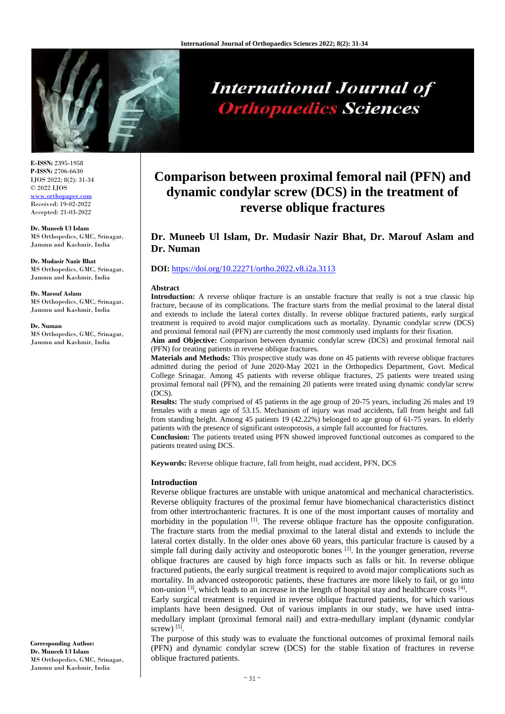

# **International Journal of Orthopaedics Sciences**

**E-ISSN:** 2395-1958 **P-ISSN:** 2706-6630 IJOS 2022; 8(2): 31-34 © 2022 IJOS www.orthopape Received: 19-02-2022 Accepted: 21-03-2022

**Dr. Muneeb Ul Islam** MS Orthopedics, GMC, Srinagar, Jammu and Kashmir, India

**Dr. Mudasir Nazir Bhat** MS Orthopedics, GMC, Srinagar, Jammu and Kashmir, India

**Dr. Marouf Aslam** MS Orthopedics, GMC, Srinagar, Jammu and Kashmir, India

**Dr. Numan** MS Orthopedics, GMC, Srinagar, Jammu and Kashmir, India

**Corresponding Author: Dr. Muneeb Ul Islam** MS Orthopedics, GMC, Srinagar, Jammu and Kashmir, India

## **Comparison between proximal femoral nail (PFN) and dynamic condylar screw (DCS) in the treatment of reverse oblique fractures**

### **Dr. Muneeb Ul Islam, Dr. Mudasir Nazir Bhat, Dr. Marouf Aslam and Dr. Numan**

#### **DOI:** <https://doi.org/10.22271/ortho.2022.v8.i2a.3113>

#### **Abstract**

**Introduction:** A reverse oblique fracture is an unstable fracture that really is not a true classic hip fracture, because of its complications. The fracture starts from the medial proximal to the lateral distal and extends to include the lateral cortex distally. In reverse oblique fractured patients, early surgical treatment is required to avoid major complications such as mortality. Dynamic condylar screw (DCS) and proximal femoral nail (PFN) are currently the most commonly used implants for their fixation.

**Aim and Objective:** Comparison between dynamic condylar screw (DCS) and proximal femoral nail (PFN) for treating patients in reverse oblique fractures.

**Materials and Methods:** This prospective study was done on 45 patients with reverse oblique fractures admitted during the period of June 2020-May 2021 in the Orthopedics Department, Govt. Medical College Srinagar. Among 45 patients with reverse oblique fractures, 25 patients were treated using proximal femoral nail (PFN), and the remaining 20 patients were treated using dynamic condylar screw  $(DCS)$ .

**Results:** The study comprised of 45 patients in the age group of 20-75 years, including 26 males and 19 females with a mean age of 53.15. Mechanism of injury was road accidents, fall from height and fall from standing height. Among 45 patients 19 (42.22%) belonged to age group of 61-75 years. In elderly patients with the presence of significant osteoporosis, a simple fall accounted for fractures.

**Conclusion:** The patients treated using PFN showed improved functional outcomes as compared to the patients treated using DCS.

**Keywords:** Reverse oblique fracture, fall from height, road accident, PFN, DCS

#### **Introduction**

Reverse oblique fractures are unstable with unique anatomical and mechanical characteristics. Reverse obliquity fractures of the proximal femur have biomechanical characteristics distinct from other intertrochanteric fractures. It is one of the most important causes of mortality and morbidity in the population  $\left[1\right]$ . The reverse oblique fracture has the opposite configuration. The fracture starts from the medial proximal to the lateral distal and extends to include the lateral cortex distally. In the older ones above 60 years, this particular fracture is caused by a simple fall during daily activity and osteoporotic bones <sup>[2]</sup>. In the younger generation, reverse oblique fractures are caused by high force impacts such as falls or hit. In reverse oblique fractured patients, the early surgical treatment is required to avoid major complications such as mortality. In advanced osteoporotic patients, these fractures are more likely to fail, or go into non-union  $^{[3]}$ , which leads to an increase in the length of hospital stay and healthcare costs  $^{[4]}$ .

Early surgical treatment is required in reverse oblique fractured patients, for which various implants have been designed. Out of various implants in our study, we have used intramedullary implant (proximal femoral nail) and extra-medullary implant (dynamic condylar screw) $^{[5]}$ .

The purpose of this study was to evaluate the functional outcomes of proximal femoral nails (PFN) and dynamic condylar screw (DCS) for the stable fixation of fractures in reverse oblique fractured patients.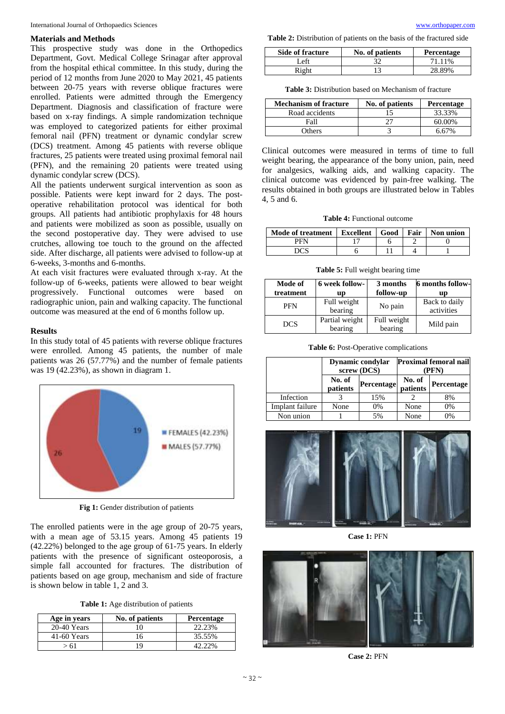#### **Materials and Methods**

This prospective study was done in the Orthopedics Department, Govt. Medical College Srinagar after approval from the hospital ethical committee. In this study, during the period of 12 months from June 2020 to May 2021, 45 patients between 20-75 years with reverse oblique fractures were enrolled. Patients were admitted through the Emergency Department. Diagnosis and classification of fracture were based on x-ray findings. A simple randomization technique was employed to categorized patients for either proximal femoral nail (PFN) treatment or dynamic condylar screw (DCS) treatment. Among 45 patients with reverse oblique fractures, 25 patients were treated using proximal femoral nail (PFN), and the remaining 20 patients were treated using dynamic condylar screw (DCS).

All the patients underwent surgical intervention as soon as possible. Patients were kept inward for 2 days. The postoperative rehabilitation protocol was identical for both groups. All patients had antibiotic prophylaxis for 48 hours and patients were mobilized as soon as possible, usually on the second postoperative day. They were advised to use crutches, allowing toe touch to the ground on the affected side. After discharge, all patients were advised to follow-up at 6-weeks, 3-months and 6-months.

At each visit fractures were evaluated through x-ray. At the follow-up of 6-weeks, patients were allowed to bear weight progressively. Functional outcomes were based on radiographic union, pain and walking capacity. The functional outcome was measured at the end of 6 months follow up.

#### **Results**

In this study total of 45 patients with reverse oblique fractures were enrolled. Among 45 patients, the number of male patients was 26 (57.77%) and the number of female patients was 19 (42.23%), as shown in diagram 1.



**Fig 1:** Gender distribution of patients

The enrolled patients were in the age group of 20-75 years, with a mean age of 53.15 years. Among 45 patients 19 (42.22%) belonged to the age group of 61-75 years. In elderly patients with the presence of significant osteoporosis, a simple fall accounted for fractures. The distribution of patients based on age group, mechanism and side of fracture is shown below in table 1, 2 and 3.

|  |  | <b>Table 1:</b> Age distribution of patients |  |  |
|--|--|----------------------------------------------|--|--|
|--|--|----------------------------------------------|--|--|

| Age in years  | No. of patients | Percentage |
|---------------|-----------------|------------|
| $20-40$ Years |                 | 22.23%     |
| 41-60 Years   |                 | 35.55%     |
| > 61          |                 | 42 22%     |

**Table 2:** Distribution of patients on the basis of the fractured side

| <b>Side of fracture</b> | No. of patients | <b>Percentage</b> |
|-------------------------|-----------------|-------------------|
| .eft                    |                 | 71.11%            |
| Right                   |                 | 28.89%            |

**Table 3:** Distribution based on Mechanism of fracture

| <b>Mechanism of fracture</b> | No. of patients | Percentage |
|------------------------------|-----------------|------------|
| Road accidents               |                 | 33.33%     |
| Fall                         |                 | 60.00%     |
| Others                       |                 | 6 67%      |

Clinical outcomes were measured in terms of time to full weight bearing, the appearance of the bony union, pain, need for analgesics, walking aids, and walking capacity. The clinical outcome was evidenced by pain-free walking. The results obtained in both groups are illustrated below in Tables 4, 5 and 6.

**Table 4:** Functional outcome

| Mode of treatment   Excellent   Good   1 |  | Fair | Non union |
|------------------------------------------|--|------|-----------|
| DEN                                      |  |      |           |
| عدته                                     |  |      |           |

**Table 5:** Full weight bearing time

| Mode of<br>treatment | 6 week follow-<br>up      | 3 months<br>follow-up  | 6 months follow-<br>up      |
|----------------------|---------------------------|------------------------|-----------------------------|
| <b>PFN</b>           | Full weight<br>bearing    | No pain                | Back to daily<br>activities |
| <b>DCS</b>           | Partial weight<br>bearing | Full weight<br>bearing | Mild pain                   |

**Table 6:** Post-Operative complications

|                 | <b>Dynamic condylar</b><br>screw (DCS) |            |                    | <b>Proximal femoral nail</b><br>(PFN) |
|-----------------|----------------------------------------|------------|--------------------|---------------------------------------|
|                 | No. of<br>patients                     | Percentage | No. of<br>patients | Percentage                            |
| Infection       |                                        | 15%        |                    | 8%                                    |
| Implant failure | None                                   | 0%         | None               | 0%                                    |
| Non union       |                                        | 5%         | None               | 0%                                    |



**Case 1:** PFN



**Case 2:** PFN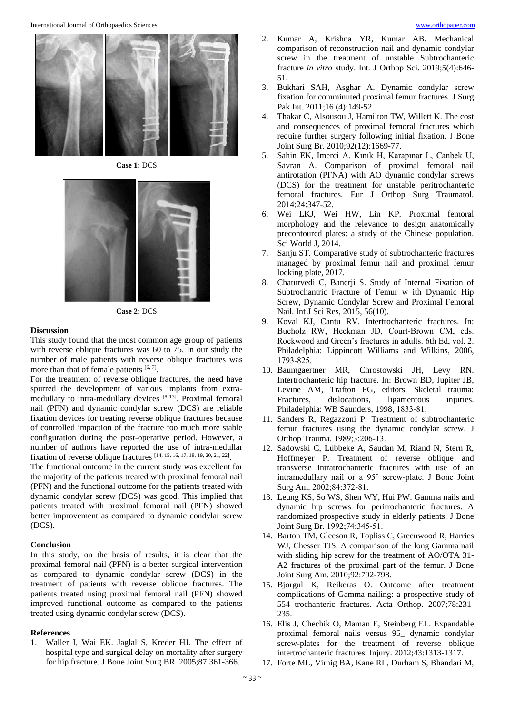

**Case 1:** DCS



**Case 2:** DCS

#### **Discussion**

This study found that the most common age group of patients with reverse oblique fractures was 60 to 75. In our study the number of male patients with reverse oblique fractures was more than that of female patients  $[6, 7]$ .

For the treatment of reverse oblique fractures, the need have spurred the development of various implants from extramedullary to intra-medullary devices [8-13]. Proximal femoral nail (PFN) and dynamic condylar screw (DCS) are reliable fixation devices for treating reverse oblique fractures because of controlled impaction of the fracture too much more stable configuration during the post-operative period. However, a number of authors have reported the use of intra-medullar fixation of reverse oblique fractures [14, 15, 16, 17, 18, 19, 20, 21, 22].

The functional outcome in the current study was excellent for the majority of the patients treated with proximal femoral nail (PFN) and the functional outcome for the patients treated with dynamic condylar screw (DCS) was good. This implied that patients treated with proximal femoral nail (PFN) showed better improvement as compared to dynamic condylar screw (DCS).

#### **Conclusion**

In this study, on the basis of results, it is clear that the proximal femoral nail (PFN) is a better surgical intervention as compared to dynamic condylar screw (DCS) in the treatment of patients with reverse oblique fractures. The patients treated using proximal femoral nail (PFN) showed improved functional outcome as compared to the patients treated using dynamic condylar screw (DCS).

#### **References**

1. Waller I, Wai EK. Jaglal S, Kreder HJ. The effect of hospital type and surgical delay on mortality after surgery for hip fracture. J Bone Joint Surg BR. 2005;87:361-366.

- 2. Kumar A, Krishna YR, Kumar AB. Mechanical comparison of reconstruction nail and dynamic condylar screw in the treatment of unstable Subtrochanteric fracture *in vitro* study. Int. J Orthop Sci. 2019;5(4):646- 51.
- 3. Bukhari SAH, Asghar A. Dynamic condylar screw fixation for comminuted proximal femur fractures. J Surg Pak Int. 2011;16 (4):149-52.
- 4. Thakar C, Alsousou J, Hamilton TW, Willett K. The cost and consequences of proximal femoral fractures which require further surgery following initial fixation. J Bone Joint Surg Br. 2010;92(12):1669-77.
- 5. Sahin EK, Imerci A, Kınık H, Karapınar L, Canbek U, Savran A. Comparison of proximal femoral nail antirotation (PFNA) with AO dynamic condylar screws (DCS) for the treatment for unstable peritrochanteric femoral fractures. Eur J Orthop Surg Traumatol. 2014;24:347-52.
- 6. Wei LKJ, Wei HW, Lin KP. Proximal femoral morphology and the relevance to design anatomically precontoured plates: a study of the Chinese population. Sci World J, 2014.
- 7. Sanju ST. Comparative study of subtrochanteric fractures managed by proximal femur nail and proximal femur locking plate, 2017.
- 8. Chaturvedi C, Banerji S. Study of Internal Fixation of Subtrochantric Fracture of Femur w ith Dynamic Hip Screw, Dynamic Condylar Screw and Proximal Femoral Nail. Int J Sci Res, 2015, 56(10).
- 9. Koval KJ, Cantu RV. Intertrochanteric fractures. In: Bucholz RW, Heckman JD, Court-Brown CM, eds. Rockwood and Green's fractures in adults. 6th Ed, vol. 2. Philadelphia: Lippincott Williams and Wilkins, 2006, 1793‑825.
- 10. Baumgaertner MR, Chrostowski JH, Levy RN. Intertrochanteric hip fracture. In: Brown BD, Jupiter JB, Levine AM, Trafton PG, editors. Skeletal trauma: Fractures, dislocations, ligamentous injuries. Philadelphia: WB Saunders, 1998, 1833‑81.
- 11. Sanders R, Regazzoni P. Treatment of subtrochanteric femur fractures using the dynamic condylar screw. J Orthop Trauma. 1989;3:206‑13.
- 12. Sadowski C, Lübbeke A, Saudan M, Riand N, Stern R, Hoffmeyer P. Treatment of reverse oblique and transverse intratrochanteric fractures with use of an intramedullary nail or a 95° screw‑plate. J Bone Joint Surg Am. 2002;84:372‑81.
- 13. Leung KS, So WS, Shen WY, Hui PW. Gamma nails and dynamic hip screws for peritrochanteric fractures. A randomized prospective study in elderly patients. J Bone Joint Surg Br. 1992;74:345‑51.
- 14. Barton TM, Gleeson R, Topliss C, Greenwood R, Harries WJ, Chesser TJS. A comparison of the long Gamma nail with sliding hip screw for the treatment of AO/OTA 31- A2 fractures of the proximal part of the femur. J Bone Joint Surg Am. 2010;92:792-798.
- 15. Bjorgul K, Reikeras O. Outcome after treatment complications of Gamma nailing: a prospective study of 554 trochanteric fractures. Acta Orthop. 2007;78:231- 235.
- 16. Elis J, Chechik O, Maman E, Steinberg EL. Expandable proximal femoral nails versus 95\_ dynamic condylar screw-plates for the treatment of reverse oblique intertrochanteric fractures. Injury. 2012;43:1313-1317.
- 17. Forte ML, Virnig BA, Kane RL, Durham S, Bhandari M,